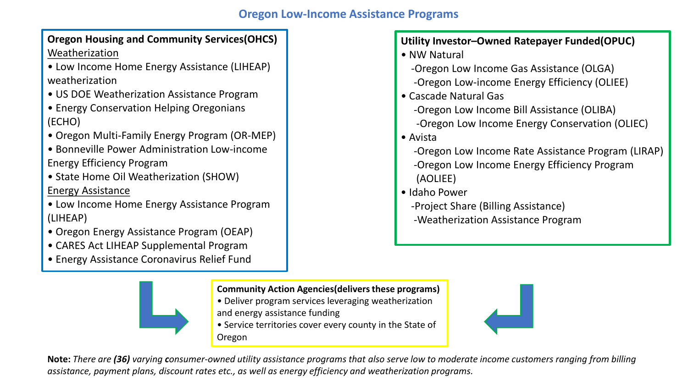## **Oregon Low-Income Assistance Programs**

**Oregon Housing and Community Services(OHCS)** Weatherization

- Low Income Home Energy Assistance (LIHEAP) weatherization
- US DOE Weatherization Assistance Program
- Energy Conservation Helping Oregonians (ECHO)
- Oregon Multi-Family Energy Program (OR-MEP)
- Bonneville Power Administration Low-income Energy Efficiency Program
- State Home Oil Weatherization (SHOW) Energy Assistance
- Low Income Home Energy Assistance Program (LIHEAP)
- Oregon Energy Assistance Program (OEAP)
- CARES Act LIHEAP Supplemental Program
- Energy Assistance Coronavirus Relief Fund



### **Community Action Agencies(delivers these programs)**

- Deliver program services leveraging weatherization
- and energy assistance funding
- Service territories cover every county in the State of Oregon



## **Utility Investor–Owned Ratepayer Funded(OPUC)**

- NW Natural
	- -Oregon Low Income Gas Assistance (OLGA)
	- -Oregon Low-income Energy Efficiency (OLIEE)
- Cascade Natural Gas
	- -Oregon Low Income Bill Assistance (OLIBA) -Oregon Low Income Energy Conservation (OLIEC)
- Avista
	- -Oregon Low Income Rate Assistance Program (LIRAP) -Oregon Low Income Energy Efficiency Program (AOLIEE)
- Idaho Power
	- -Project Share (Billing Assistance)
	- -Weatherization Assistance Program

**Note:** *There are (36) varying consumer-owned utility assistance programs that also serve low to moderate income customers ranging from billing assistance, payment plans, discount rates etc., as well as energy efficiency and weatherization programs.*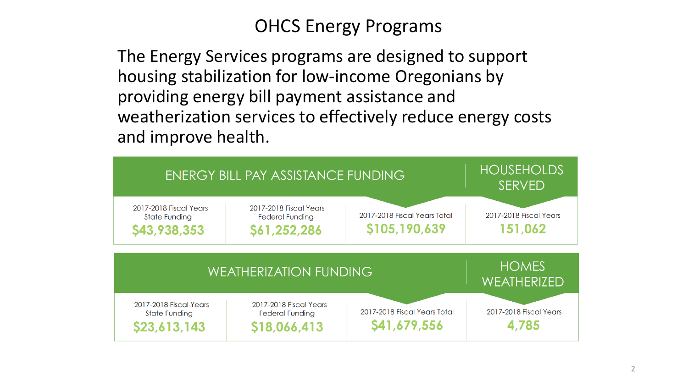## OHCS Energy Programs

The Energy Services programs are designed to support housing stabilization for low-income Oregonians by providing energy bill payment assistance and weatherization services to effectively reduce energy costs and improve health.

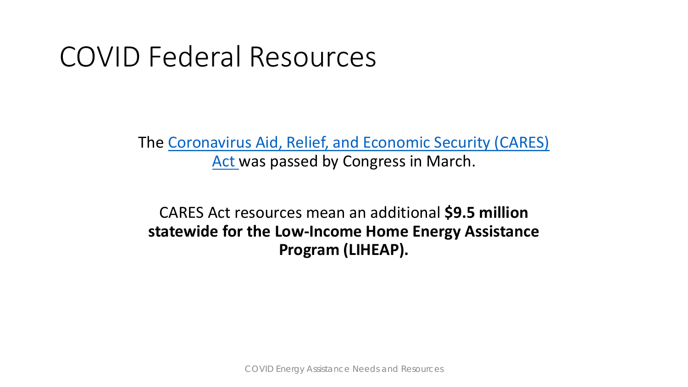## COVID Federal Resources

The [Coronavirus Aid, Relief, and Economic Security \(CARES\)](https://www.oregon.gov/ohcs/DO/docs/COVID-19/CARES-Act-Cheat-Sheet-05132020.pdf)  Act was passed by Congress in March.

CARES Act resources mean an additional **\$9.5 million statewide for the Low-Income Home Energy Assistance Program (LIHEAP).**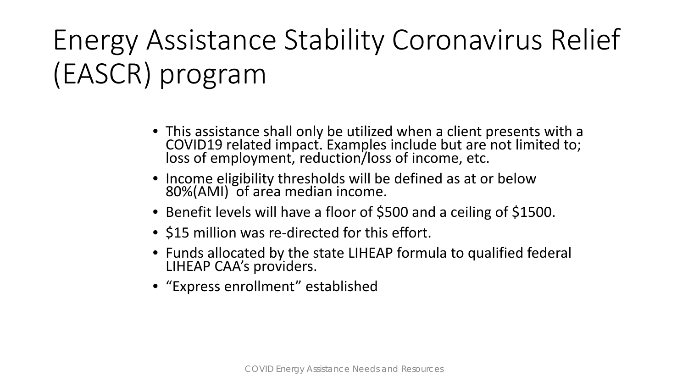# Energy Assistance Stability Coronavirus Relief (EASCR) program

- This assistance shall only be utilized when a client presents with a COVID19 related impact. Examples include but are not limited to; loss of employment, reduction/loss of income, etc.
- Income eligibility thresholds will be defined as at or below 80%(AMI) of area median income.
- Benefit levels will have a floor of \$500 and a ceiling of \$1500.
- \$15 million was re-directed for this effort.
- Funds allocated by the state LIHEAP formula to qualified federal LIHEAP CAA's providers.
- "Express enrollment" established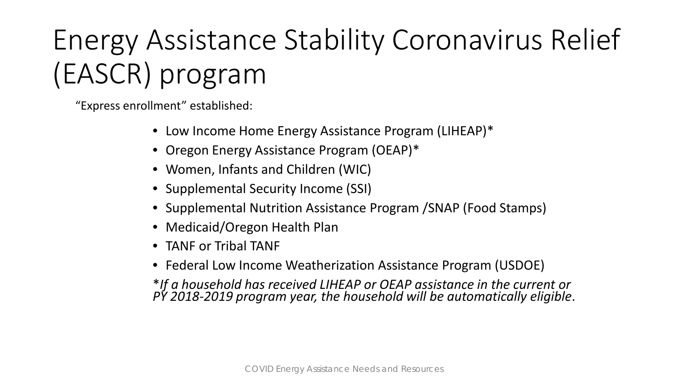# Energy Assistance Stability Coronavirus Relief (EASCR) program

"Express enrollment" established:

- Low Income Home Energy Assistance Program (LIHEAP)\*
- Oregon Energy Assistance Program (OEAP)\*
- Women, Infants and Children (WIC)
- Supplemental Security Income (SSI)
- Supplemental Nutrition Assistance Program /SNAP (Food Stamps)
- Medicaid/Oregon Health Plan
- TANF or Tribal TANF
- Federal Low Income Weatherization Assistance Program (USDOE)

\**If a household has received LIHEAP or OEAP assistance in the current or PY 2018-2019 program year, the household will be automatically eligible*.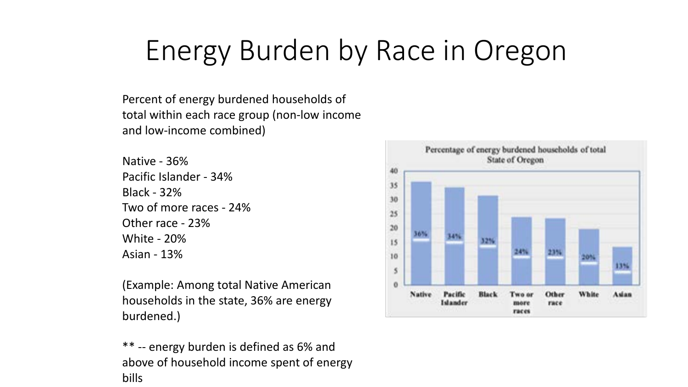# Energy Burden by Race in Oregon

Percent of energy burdened households of total within each race group (non-low income and low-income combined)

Native - 36% Pacific Islander - 34% Black - 32% Two of more races - 24% Other race - 23% White - 20% Asian - 13%

(Example: Among total Native American households in the state, 36% are energy burdened.)

\*\* -- energy burden is defined as 6% and above of household income spent of energy bills

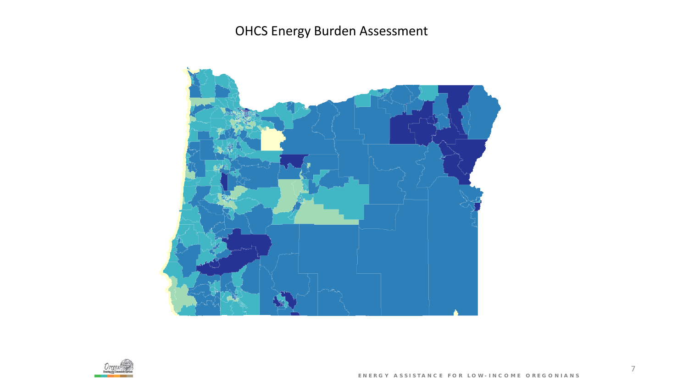## [OHCS Energy Burden Assessment](https://osugisci.maps.arcgis.com/apps/webappviewer/index.html?id=189e21ea4f694168ad519a18ef99ef60)